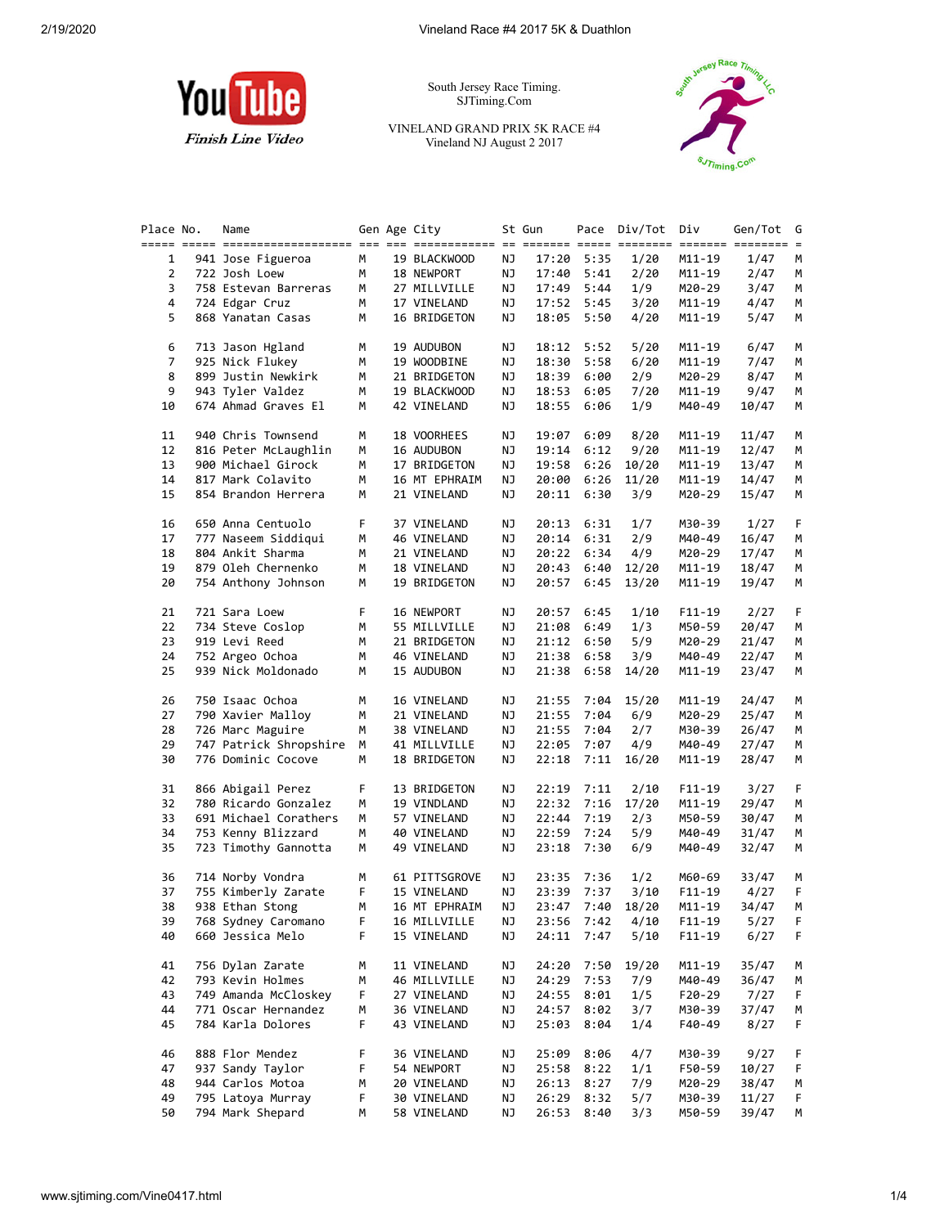

South Jersey Race Timing. SJTiming.Com

VINELAND GRAND PRIX 5K RACE #4 Vineland NJ August 2 2017



| Place No.      |  | Name                   |    | Gen Age City  |    | St Gun |            | Pace Div/Tot | Div        | Gen/Tot<br>======= ======== = | G      |
|----------------|--|------------------------|----|---------------|----|--------|------------|--------------|------------|-------------------------------|--------|
| 1              |  | 941 Jose Figueroa      | М  | 19 BLACKWOOD  | ΝJ | 17:20  | 5:35       | 1/20         | M11-19     | 1/47                          | М      |
| $\overline{2}$ |  | 722 Josh Loew          | М  | 18 NEWPORT    | ΝJ | 17:40  | 5:41       | 2/20         | M11-19     | 2/47                          | м      |
| 3              |  | 758 Estevan Barreras   | М  | 27 MILLVILLE  | ΝJ | 17:49  | 5:44       | 1/9          | M20-29     | 3/47                          | м      |
| 4              |  | 724 Edgar Cruz         | М  | 17 VINELAND   | ΝJ | 17:52  | 5:45       | 3/20         | M11-19     | 4/47                          | М      |
| 5              |  | 868 Yanatan Casas      | М  | 16 BRIDGETON  | ΝJ | 18:05  | 5:50       | 4/20         | M11-19     | 5/47                          | М      |
| 6              |  | 713 Jason Hgland       | М  | 19 AUDUBON    | ΝJ |        | 18:12 5:52 | 5/20         | M11-19     | 6/47                          | М      |
| 7              |  | 925 Nick Flukey        | м  | 19 WOODBINE   | ΝJ | 18:30  | 5:58       | 6/20         | M11-19     | 7/47                          | М      |
| 8              |  | 899 Justin Newkirk     | м  | 21 BRIDGETON  | ΝJ | 18:39  | 6:00       | 2/9          | M20-29     | 8/47                          | М      |
| 9              |  | 943 Tyler Valdez       | м  | 19 BLACKWOOD  | ΝJ | 18:53  | 6:05       | 7/20         | M11-19     | 9/47                          | М      |
| 10             |  | 674 Ahmad Graves El    | М  | 42 VINELAND   | ΝJ | 18:55  | 6:06       | 1/9          | M40-49     | 10/47                         | М      |
| 11             |  | 940 Chris Townsend     | М  | 18 VOORHEES   | ΝJ | 19:07  | 6:09       | 8/20         | M11-19     | 11/47                         | М      |
| 12             |  | 816 Peter McLaughlin   | М  | 16 AUDUBON    | ΝJ | 19:14  | 6:12       | 9/20         | M11-19     | 12/47                         | М      |
| 13             |  | 900 Michael Girock     | м  | 17 BRIDGETON  | ΝJ | 19:58  | 6:26       | 10/20        | M11-19     | 13/47                         | м      |
| 14             |  | 817 Mark Colavito      | м  | 16 MT EPHRAIM | ΝJ | 20:00  | 6:26       | 11/20        | M11-19     | 14/47                         | M      |
| 15             |  | 854 Brandon Herrera    | М  | 21 VINELAND   | ΝJ | 20:11  | 6:30       | 3/9          | M20-29     | 15/47                         | М      |
| 16             |  | 650 Anna Centuolo      | F. | 37 VINELAND   | ΝJ | 20:13  | 6:31       | 1/7          | M30-39     | 1/27                          | F      |
| 17             |  | 777 Naseem Siddiqui    | м  | 46 VINELAND   | ΝJ | 20:14  | 6:31       | 2/9          | M40-49     | 16/47                         |        |
| 18             |  | 804 Ankit Sharma       | м  | 21 VINELAND   | ΝJ | 20:22  | 6:34       | 4/9          | M20-29     | 17/47                         | м<br>М |
| 19             |  | 879 Oleh Chernenko     | м  | 18 VINELAND   | ΝJ | 20:43  | 6:40       | 12/20        | M11-19     | 18/47                         |        |
| 20             |  | 754 Anthony Johnson    | М  | 19 BRIDGETON  | ΝJ | 20:57  | 6:45       | 13/20        | M11-19     | 19/47                         | М      |
| 21             |  | 721 Sara Loew          | F  | 16 NEWPORT    | ΝJ | 20:57  | 6:45       | 1/10         | $F11-19$   | 2/27                          |        |
| 22             |  | 734 Steve Coslop       | М  | 55 MILLVILLE  | ΝJ | 21:08  | 6:49       | 1/3          | M50-59     | 20/47                         |        |
| 23             |  | 919 Levi Reed          | м  | 21 BRIDGETON  | ΝJ | 21:12  | 6:50       | 5/9          | M20-29     | 21/47                         |        |
| 24             |  | 752 Argeo Ochoa        | М  | 46 VINELAND   | ΝJ | 21:38  | 6:58       | 3/9          | M40-49     | 22/47                         |        |
| 25             |  | 939 Nick Moldonado     | м  | 15 AUDUBON    | ΝJ | 21:38  | 6:58       | 14/20        | M11-19     | 23/47                         |        |
| 26             |  | 750 Isaac Ochoa        | М  | 16 VINELAND   | ΝJ | 21:55  | 7:04       | 15/20        | M11-19     | 24/47                         |        |
| 27             |  | 790 Xavier Malloy      | м  | 21 VINELAND   | ΝJ | 21:55  | 7:04       | 6/9          | M20-29     | 25/47                         |        |
| 28             |  | 726 Marc Maguire       | м  | 38 VINELAND   | ΝJ | 21:55  | 7:04       | 2/7          | M30-39     | 26/47                         |        |
| 29             |  | 747 Patrick Shropshire | М  | 41 MILLVILLE  | ΝJ | 22:05  | 7:07       | 4/9          | M40-49     | 27/47                         |        |
| 30             |  | 776 Dominic Cocove     | М  | 18 BRIDGETON  | ΝJ | 22:18  | 7:11       | 16/20        | M11-19     | 28/47                         |        |
| 31             |  | 866 Abigail Perez      | F  | 13 BRIDGETON  | ΝJ | 22:19  | 7:11       | 2/10         | $F11-19$   | 3/27                          |        |
| 32             |  | 780 Ricardo Gonzalez   | М  | 19 VINDLAND   | ΝJ | 22:32  | 7:16       | 17/20        | M11-19     | 29/47                         |        |
| 33             |  | 691 Michael Corathers  | м  | 57 VINELAND   | ΝJ | 22:44  | 7:19       | 2/3          | M50-59     | 30/47                         |        |
| 34             |  | 753 Kenny Blizzard     | м  | 40 VINELAND   | ΝJ | 22:59  | 7:24       | 5/9          | M40-49     | 31/47                         |        |
| 35             |  | 723 Timothy Gannotta   | М  | 49 VINELAND   | ΝJ | 23:18  | 7:30       | 6/9          | M40-49     | 32/47                         |        |
| 36             |  | 714 Norby Vondra       | м  | 61 PITTSGROVE | ΝJ | 23:35  | 7:36       | 1/2          | M60-69     | 33/47                         |        |
| 37             |  | 755 Kimberly Zarate    | F  | 15 VINELAND   | ΝJ | 23:39  | 7:37       | 3/10         | $F11-19$   | 4/27                          |        |
| 38             |  | 938 Ethan Stong        | м  | 16 МТ ЕРНКАІМ | NJ | 23:47  | 7:40       | 18/20        | M11-19     | 34/47                         |        |
| 39             |  | 768 Sydney Caromano    | F  | 16 MILLVILLE  | ΝJ | 23:56  | 7:42       | 4/10         | $F11 - 19$ | 5/27                          |        |
| 40             |  | 660 Jessica Melo       | F  | 15 VINELAND   | ΝJ | 24:11  | 7:47       | 5/10         | $F11 - 19$ | 6/27                          |        |
| 41             |  | 756 Dylan Zarate       | М  | 11 VINELAND   | ΝJ | 24:20  | 7:50       | 19/20        | M11-19     | 35/47                         |        |
| 42             |  | 793 Kevin Holmes       | м  | 46 MILLVILLE  | ΝJ | 24:29  | 7:53       | 7/9          | M40-49     | 36/47                         |        |
| 43             |  | 749 Amanda McCloskey   | F  | 27 VINELAND   | ΝJ | 24:55  | 8:01       | 1/5          | F20-29     | 7/27                          |        |
| 44             |  | 771 Oscar Hernandez    | м  | 36 VINELAND   | ΝJ | 24:57  | 8:02       | 3/7          | M30-39     | 37/47                         |        |
| 45             |  | 784 Karla Dolores      | F  | 43 VINELAND   | ΝJ | 25:03  | 8:04       | 1/4          | F40-49     | 8/27                          |        |
| 46             |  | 888 Flor Mendez        | F  | 36 VINELAND   | ΝJ | 25:09  | 8:06       | 4/7          | M30-39     | 9/27                          |        |
| 47             |  | 937 Sandy Taylor       | F  | 54 NEWPORT    | ΝJ | 25:58  | 8:22       | 1/1          | F50-59     | 10/27                         |        |
| 48             |  | 944 Carlos Motoa       | м  | 20 VINELAND   | ΝJ | 26:13  | 8:27       | 7/9          | M20-29     | 38/47                         |        |
| 49             |  | 795 Latoya Murray      | F  | 30 VINELAND   | ΝJ | 26:29  | 8:32       | 5/7          | M30-39     | 11/27                         |        |
| 50             |  | 794 Mark Shepard       | М  | 58 VINELAND   | ΝJ |        | 26:53 8:40 | 3/3          | M50-59     | 39/47                         | M      |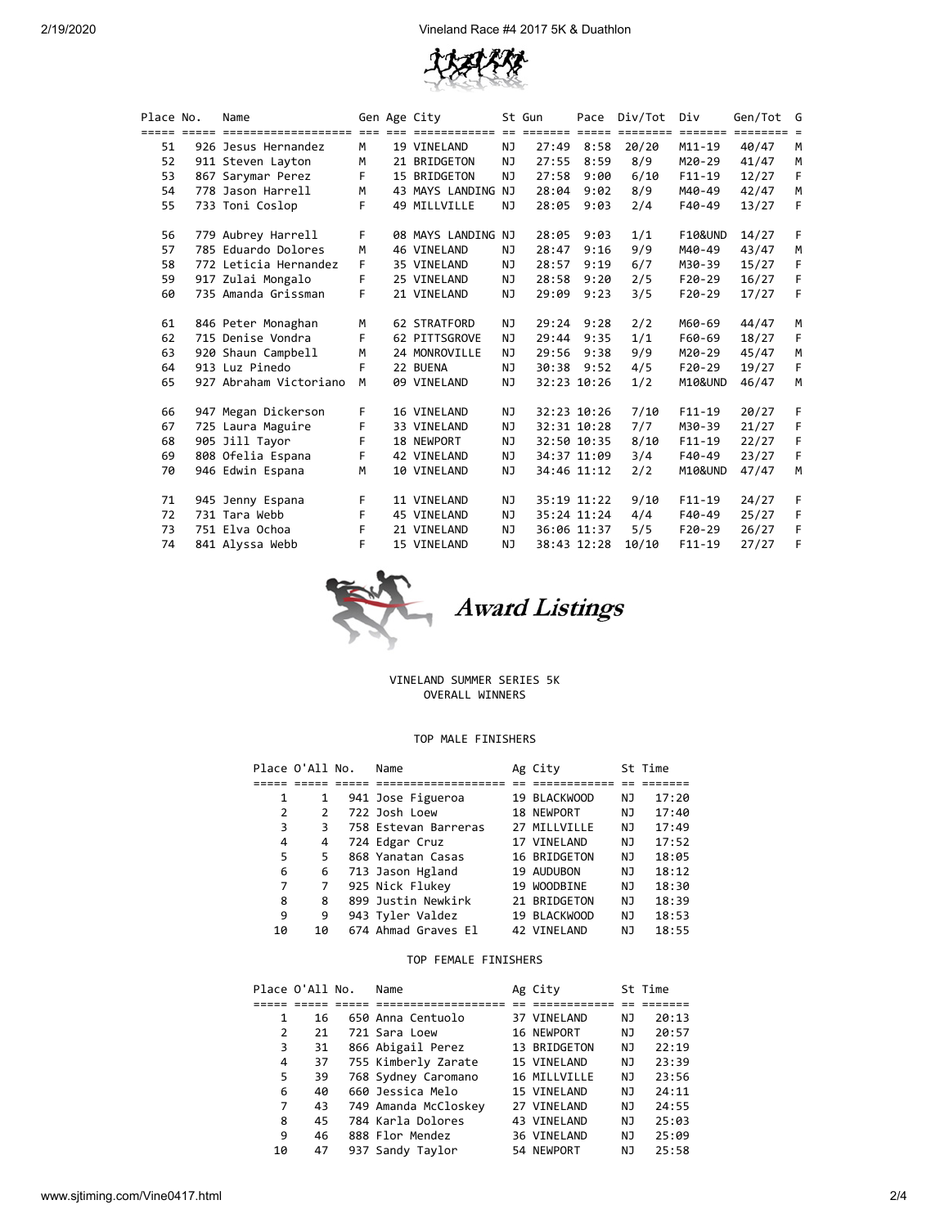

| Place No. | Gen Age City<br>Name   |    |                    | St Gun    |       | Pace Div/Tot | Div   | Gen/Tot G  |       |    |
|-----------|------------------------|----|--------------------|-----------|-------|--------------|-------|------------|-------|----|
|           |                        |    |                    |           |       |              |       |            |       |    |
| 51        | 926 Jesus Hernandez    | M  | 19 VINELAND        | NJ.       | 27:49 | 8:58         | 20/20 | $M11 - 19$ | 40/47 | M  |
| 52        | 911 Steven Layton      | M  | 21 BRIDGETON       | NJ.       | 27:55 | 8:59         | 8/9   | M20-29     | 41/47 | M  |
| 53        | 867 Sarymar Perez      | F. | 15 BRIDGETON       | NJ        | 27:58 | 9:00         | 6/10  | $F11-19$   | 12/27 | F  |
| 54        | 778 Jason Harrell      | M  | 43 MAYS LANDING NJ |           | 28:04 | 9:02         | 8/9   | M40-49     | 42/47 | M  |
| 55        | 733 Toni Coslop        | F  | 49 MILLVILLE       | NJ.       | 28:05 | 9:03         | 2/4   | F40-49     | 13/27 | F  |
| 56        | 779 Aubrey Harrell     | F. | 08 MAYS LANDING NJ |           | 28:05 | 9:03         | 1/1   | F10&UND    | 14/27 | F. |
| 57        | 785 Eduardo Dolores    | M  | 46 VINELAND        | NJ        | 28:47 | 9:16         | 9/9   | M40-49     | 43/47 | М  |
| 58        | 772 Leticia Hernandez  | F  | 35 VINELAND        | NJ        | 28:57 | 9:19         | 6/7   | M30-39     | 15/27 | F. |
| 59        | 917 Zulai Mongalo      | F. | 25 VINELAND        | NJ        | 28:58 | 9:20         | 2/5   | $F20-29$   | 16/27 | F  |
| 60        | 735 Amanda Grissman    | F  | 21 VINELAND        | <b>NJ</b> | 29:09 | 9:23         | 3/5   | $F20-29$   | 17/27 | F  |
| 61        | 846 Peter Monaghan     | M  | 62 STRATFORD       | NJ        |       | 29:24 9:28   | 2/2   | M60-69     | 44/47 | M  |
| 62        | 715 Denise Vondra      | F  | 62 PITTSGROVE      | NJ        | 29:44 | 9:35         | 1/1   | F60-69     | 18/27 | F  |
| 63        | 920 Shaun Campbell     | M  | 24 MONROVILLE      | NJ.       | 29:56 | 9:38         | 9/9   | M20-29     | 45/47 | M  |
| 64        | 913 Luz Pinedo         | F  | 22 BUENA           | NJ.       | 30:38 | 9:52         | 4/5   | F20-29     | 19/27 | F  |
| 65        | 927 Abraham Victoriano | M  | 09 VINELAND        | NJ.       |       | 32:23 10:26  | 1/2   | M10&UND    | 46/47 | M  |
| 66        | 947 Megan Dickerson    | F. | 16 VINELAND        | NJ        |       | 32:23 10:26  | 7/10  | $F11-19$   | 20/27 | F  |
| 67        | 725 Laura Maguire      | F  | 33 VINELAND        | NJ        |       | 32:31 10:28  | 7/7   | M30-39     | 21/27 | F  |
| 68        | 905 Jill Tayor         | F  | 18 NEWPORT         | <b>NJ</b> |       | 32:50 10:35  | 8/10  | $F11-19$   | 22/27 | F  |
| 69        | 808 Ofelia Espana      | F  | 42 VINELAND        | NJ        |       | 34:37 11:09  | 3/4   | F40-49     | 23/27 | F  |
| 70        | 946 Edwin Espana       | M  | 10 VINELAND        | <b>NJ</b> |       | 34:46 11:12  | 2/2   | M10&UND    | 47/47 | M  |
| 71        | 945 Jenny Espana       | F. | 11 VINELAND        | NJ        |       | 35:19 11:22  | 9/10  | $F11-19$   | 24/27 | F  |
| 72        | 731 Tara Webb          | F  | 45 VINELAND        | NJ        |       | 35:24 11:24  | 4/4   | F40-49     | 25/27 | F  |
| 73        | 751 Elva Ochoa         | F. | 21 VINELAND        | NJ        |       | 36:06 11:37  | 5/5   | $F20-29$   | 26/27 | F  |
| 74        | 841 Alyssa Webb        | F  | 15 VINELAND        | NJ        |       | 38:43 12:28  | 10/10 | $F11 - 19$ | 27/27 | F  |



#### VINELAND SUMMER SERIES 5K OVERALL WINNERS

## TOP MALE FINISHERS

|    | Place O'All No. | Name                 | Ag City      |    | St Time |
|----|-----------------|----------------------|--------------|----|---------|
|    |                 |                      |              |    |         |
| 1  | 1               | 941 Jose Figueroa    | 19 BLACKWOOD | ΝJ | 17:20   |
| 2  | 2               | 722 Josh Loew        | 18 NEWPORT   | ΝJ | 17:40   |
| 3  | 3               | 758 Estevan Barreras | 27 MILLVILLE | ΝJ | 17:49   |
| 4  | 4               | 724 Edgar Cruz       | 17 VINELAND  | NJ | 17:52   |
| 5  | 5               | 868 Yanatan Casas    | 16 BRIDGETON | NJ | 18:05   |
| 6  | 6               | 713 Jason Hgland     | 19 AUDUBON   | NJ | 18:12   |
| 7  | 7               | 925 Nick Flukey      | 19 WOODBINE  | NJ | 18:30   |
| 8  | 8               | 899 Justin Newkirk   | 21 BRIDGETON | ΝJ | 18:39   |
| 9  | 9               | 943 Tyler Valdez     | 19 BLACKWOOD | ΝJ | 18:53   |
| 10 | 10              | 674 Ahmad Graves El  | 42 VINELAND  | ΝJ | 18:55   |

## TOP FEMALE FINISHERS

| Place O'All No. |    | Name                 | Ag City      |    | St Time |
|-----------------|----|----------------------|--------------|----|---------|
|                 |    |                      |              |    |         |
| 1               | 16 | 650 Anna Centuolo    | 37 VINELAND  | ΝJ | 20:13   |
| 2               | 21 | 721 Sara Loew        | 16 NEWPORT   | ΝJ | 20:57   |
| 3               | 31 | 866 Abigail Perez    | 13 BRIDGETON | NJ | 22:19   |
| 4               | 37 | 755 Kimberly Zarate  | 15 VINELAND  | NJ | 23:39   |
| 5               | 39 | 768 Sydney Caromano  | 16 MILLVILLE | ΝJ | 23:56   |
| 6               | 40 | 660 Jessica Melo     | 15 VINELAND  | NJ | 24:11   |
| 7               | 43 | 749 Amanda McCloskey | 27 VINELAND  | NJ | 24:55   |
| 8               | 45 | 784 Karla Dolores    | 43 VINELAND  | NJ | 25:03   |
| 9               | 46 | 888 Flor Mendez      | 36 VINELAND  | ΝJ | 25:09   |
| 10              | 47 | 937 Sandy Taylor     | 54 NEWPORT   | ΝJ | 25:58   |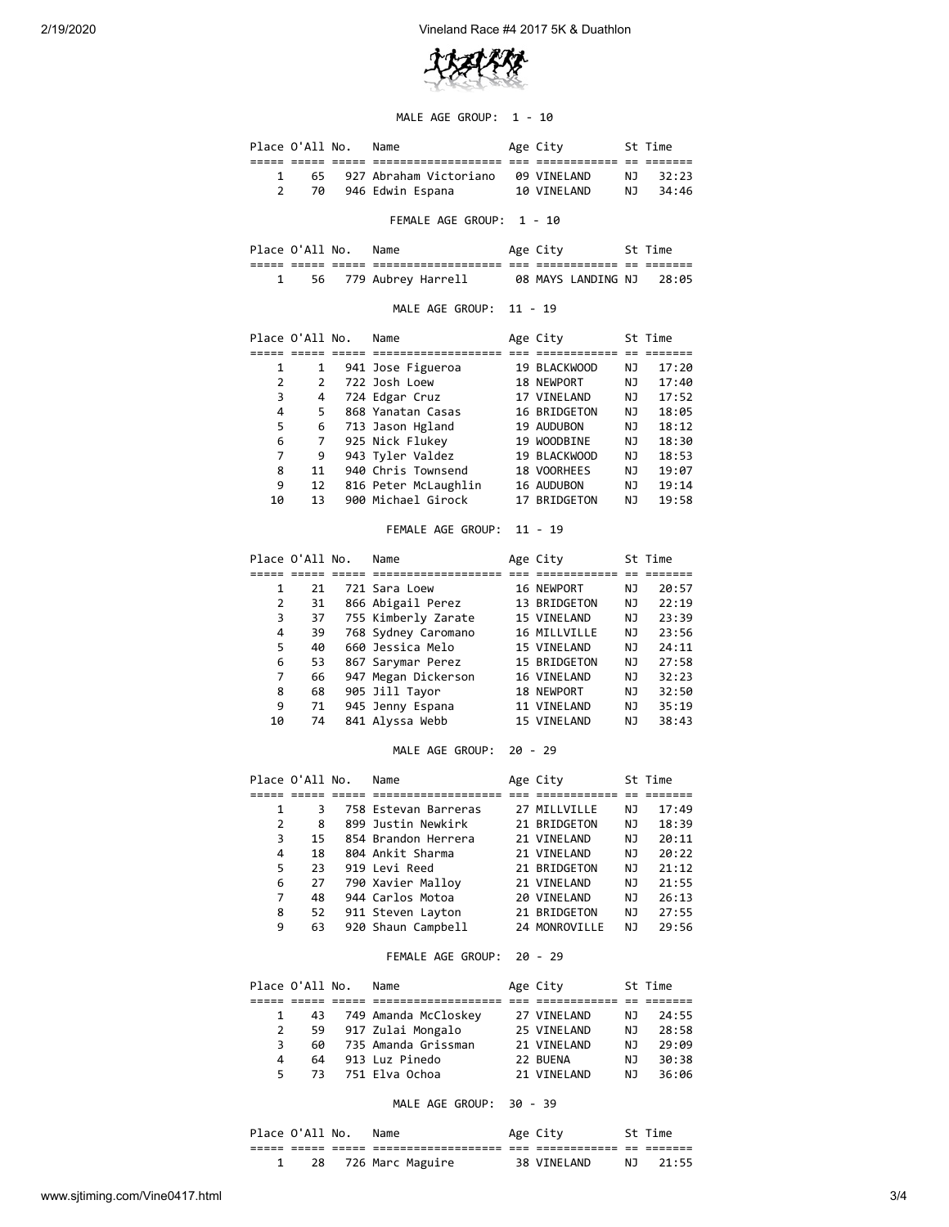

#### MALE AGE GROUP: 1 - 10

|   | Place O'All No. | Name                     | Age City           |     | St Time |  |
|---|-----------------|--------------------------|--------------------|-----|---------|--|
|   |                 |                          |                    |     |         |  |
|   | 65.             | 927 Abraham Victoriano   | <b>99 VTNELAND</b> | NJ. | 32:23   |  |
| 2 | 70              | 946 Edwin Espana         | 10 VINELAND        | NJ. | 34:46   |  |
|   |                 | FEMALE AGE GROUP: 1 - 10 |                    |     |         |  |
|   | Place O'All No. | Name                     | Age City           |     | St Time |  |

| $1 + 20$       |       |       | ------                                     |                | ARL CILY                     |              |                    |  |
|----------------|-------|-------|--------------------------------------------|----------------|------------------------------|--------------|--------------------|--|
| _____<br>----- | _____ | _____ | -------------------<br>___________________ | ---<br>$- - -$ | ____________<br>____________ | $ -$<br>$ -$ | -------<br>_______ |  |
|                |       |       | 56 779 Aubrey Harrell                      |                | 08 MAYS LANDING NJ           |              | 28:05              |  |

## MALE AGE GROUP: 11 - 19

|    | Place O'All No. | Name                 |  | Age City     |    | St Time |
|----|-----------------|----------------------|--|--------------|----|---------|
|    |                 |                      |  |              |    |         |
| 1  | 1               | 941 Jose Figueroa    |  | 19 BLACKWOOD | ΝJ | 17:20   |
| 2  | $\mathcal{P}$   | 722 Josh Loew        |  | 18 NEWPORT   | ΝJ | 17:40   |
| 3  | 4               | 724 Edgar Cruz       |  | 17 VINELAND  | ΝJ | 17:52   |
| 4  | 5               | 868 Yanatan Casas    |  | 16 BRIDGETON | ΝJ | 18:05   |
| 5  | 6               | 713 Jason Hgland     |  | 19 AUDUBON   | ΝJ | 18:12   |
| 6  | 7               | 925 Nick Flukey      |  | 19 WOODBINE  | ΝJ | 18:30   |
| 7  | 9               | 943 Tyler Valdez     |  | 19 BLACKWOOD | ΝJ | 18:53   |
| 8  | 11              | 940 Chris Townsend   |  | 18 VOORHEES  | ΝJ | 19:07   |
| 9  | 12              | 816 Peter McLaughlin |  | 16 AUDUBON   | ΝJ | 19:14   |
| 10 | 13              | 900 Michael Girock   |  | 17 BRIDGETON | ΝJ | 19:58   |

# FEMALE AGE GROUP: 11 - 19

|    | Place O'All No. | Age City<br>Name    |  |              | St Time |       |
|----|-----------------|---------------------|--|--------------|---------|-------|
|    |                 |                     |  |              |         |       |
| 1  | 21              | 721 Sara Loew       |  | 16 NEWPORT   | ΝJ      | 20:57 |
| 2  | 31              | 866 Abigail Perez   |  | 13 BRIDGETON | ΝJ      | 22:19 |
| 3  | 37              | 755 Kimberly Zarate |  | 15 VINELAND  | ΝJ      | 23:39 |
| 4  | 39              | 768 Sydney Caromano |  | 16 MILLVILLE | ΝJ      | 23:56 |
| 5  | 40              | 660 Jessica Melo    |  | 15 VINELAND  | ΝJ      | 24:11 |
| 6  | 53              | 867 Sarymar Perez   |  | 15 BRIDGETON | ΝJ      | 27:58 |
| 7  | 66              | 947 Megan Dickerson |  | 16 VINELAND  | ΝJ      | 32:23 |
| 8  | 68              | 905 Jill Tayor      |  | 18 NEWPORT   | ΝJ      | 32:50 |
| 9  | 71              | 945 Jenny Espana    |  | 11 VINELAND  | ΝJ      | 35:19 |
| 10 | 74              | 841 Alyssa Webb     |  | 15 VINELAND  | ΝJ      | 38:43 |

# MALE AGE GROUP: 20 - 29

|   | Place O'All No. | Name                 | Age City      |    | St Time |
|---|-----------------|----------------------|---------------|----|---------|
|   |                 |                      |               |    |         |
| 1 | З               | 758 Estevan Barreras | 27 MILLVILLE  | ΝJ | 17:49   |
| 2 | 8               | 899 Justin Newkirk   | 21 BRIDGETON  | ΝJ | 18:39   |
| 3 | 15              | 854 Brandon Herrera  | 21 VINELAND   | ΝJ | 20:11   |
| 4 | 18              | 804 Ankit Sharma     | 21 VINELAND   | ΝJ | 20:22   |
| 5 | 23              | 919 Levi Reed        | 21 BRIDGETON  | NJ | 21:12   |
| 6 | 27              | 790 Xavier Malloy    | 21 VINELAND   | ΝJ | 21:55   |
| 7 | 48              | 944 Carlos Motoa     | 20 VINELAND   | ΝJ | 26:13   |
| 8 | 52              | 911 Steven Layton    | 21 BRIDGETON  | ΝJ | 27:55   |
| 9 | 63              | 920 Shaun Campbell   | 24 MONROVILLE | ΝJ | 29:56   |

#### FEMALE AGE GROUP: 20 - 29

|    | Place O'All No. | Name                    | Age City     |     | St Time |
|----|-----------------|-------------------------|--------------|-----|---------|
|    |                 |                         |              |     |         |
|    |                 | 43 749 Amanda McCloskey | 27 VINELAND  | NJ. | 24:55   |
| 2  |                 | 59 917 Zulai Mongalo    | 25 VINELAND  | NJ. | 28:58   |
| 3  | 60              | 735 Amanda Grissman     | 21 VINELAND  | NJ. | 29:09   |
| 4  | 64              | 913 Luz Pinedo          | 22 BUENA     | NJ. | 30:38   |
| 5. | 73              | 751 Elva Ochoa          | 21 VTNFI AND | N J | 36:06   |

## MALE AGE GROUP: 30 - 39

|  | Place O'All No. |       | Name              |            | Age City    |             | St Time |
|--|-----------------|-------|-------------------|------------|-------------|-------------|---------|
|  | _____           | _____ | ----------------- | ___<br>___ | __________  | $ -$<br>$-$ |         |
|  | 28              |       | 726 Marc Maguire  |            | 38 VINELAND | NJ.         | 21:55   |